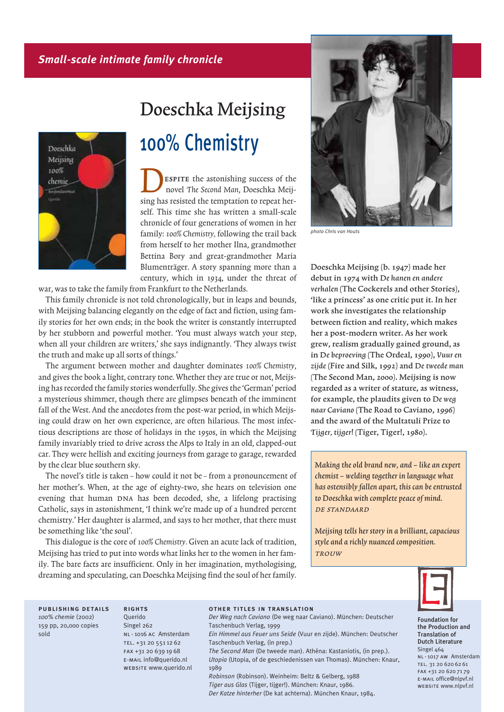# *Small-scale intimate family chronicle*



# $\begin{bmatrix} 0 & 0 \\ 0 & 1 \end{bmatrix}$ 100% Chemistry

ESPITE the astonishing success of the novel The Second Man, Doeschka Meijsing has resisted the temptation to repeat herself. This time she has written a small-scale chronicle of four generations of women in her family: 100% Chemistry, following the trail back from herself to her mother Ilna, grandmother Bettina Bory and great-grandmother Maria Blumenträger. A story spanning more than a century, which in 1934, under the threat of

war, was to take the family from Frankfurt to the Netherlands.

This family chronicle is not told chronologically, but in leaps and bounds, with Meijsing balancing elegantly on the edge of fact and fiction, using family stories for her own ends; in the book the writer is constantly interrupted by her stubborn and powerful mother. 'You must always watch your step, when all your children are writers,' she says indignantly. 'They always twist the truth and make up all sorts of things.'

The argument between mother and daughter dominates 100% Chemistry, and gives the book a light, contrary tone. Whether they are true or not, Meijsing has recorded the family stories wonderfully. She gives the 'German' period a mysterious shimmer, though there are glimpses beneath of the imminent fall of the West. And the anecdotes from the post-war period, in which Meijsing could draw on her own experience, are often hilarious. The most infectious descriptions are those of holidays in the 1950s, in which the Meijsing family invariably tried to drive across the Alps to Italy in an old, clapped-out car. They were hellish and exciting journeys from garage to garage, rewarded by the clear blue southern sky.

The novel's title is taken – how could it not be – from a pronouncement of her mother's. When, at the age of eighty-two, she hears on television one evening that human DNA has been decoded, she, a lifelong practising Catholic, says in astonishment, 'I think we're made up of a hundred percent chemistry.' Her daughter is alarmed, and says to her mother, that there must be something like 'the soul'.

This dialogue is the core of 100% Chemistry. Given an acute lack of tradition, Meijsing has tried to put into words what links her to the women in her family. The bare facts are insufficient. Only in her imagination, mythologising, dreaming and speculating, can Doeschka Meijsing find the soul of her family.



*photo Chris van Houts*

Doeschka Meijsing (b. 1947) made her debut in 1974 with De hanen en andere verhalen (The Cockerels and other Stories), 'like a princess' as one critic put it. In her work she investigates the relationship between fiction and reality, which makes her a post-modern writer. As her work grew, realism gradually gained ground, as in De beproeving (The Ordeal, 1990), Vuur en zijde (Fire and Silk, 1992) and De tweede man (The Second Man, 2000). Meijsing is now regarded as a writer of stature, as witness, for example, the plaudits given to De weg naar Caviano (The Road to Caviano, 1996) and the award of the Multatuli Prize to Tijger, tijger! (Tiger, Tiger!, 1980).

Making the old brand new, and  $-$  like an expert chemist – welding together in language what has ostensibly fallen apart, this can be entrusted to Doeschka with complete peace of mind. de standaard

Meijsing tells her story in a brilliant, capacious style and a richly nuanced composition. **TROUW** 



Foundation for the Production and Translation of Dutch Literature Singel 464 NL-1017 AW Amsterdam TEL. 31 20 620 62 61 FAX +31 20 620 71 79 e-mail office@nlpvf.nl website www.nlpvf.nl

publishing details *100% chemie* (2002) 159 pp, 20,000 copies sold

**Ouerido** Singel 262 NL-1016 AC Amsterdam TEL. +31 20 551 12 62 FAX +31 20 639 19 68 e-mail info@querido.nl website www.querido.nl

**RIGHTS** 

#### other titles in translation

*Der Weg nach Caviano* (De weg naar Caviano). München: Deutscher Taschenbuch Verlag, 1999

*Ein Himmel aus Feuer uns Seide* (Vuur en zijde). München: Deutscher Taschenbuch Verlag, (in prep.)

*The Second Man* (De tweede man). Athéna: Kastaniotis, (in prep.). *Utopia* (Utopia, of de geschiedenissen van Thomas). München: Knaur, 1989

*Robinson* (Robinson). Weinheim: Beltz & Gelberg, 1988 *Tiger aus Glas* (Tijger, tijger!). München: Knaur, 1986. *Der Katze hinterher* (De kat achterna). München Knaur, 1984.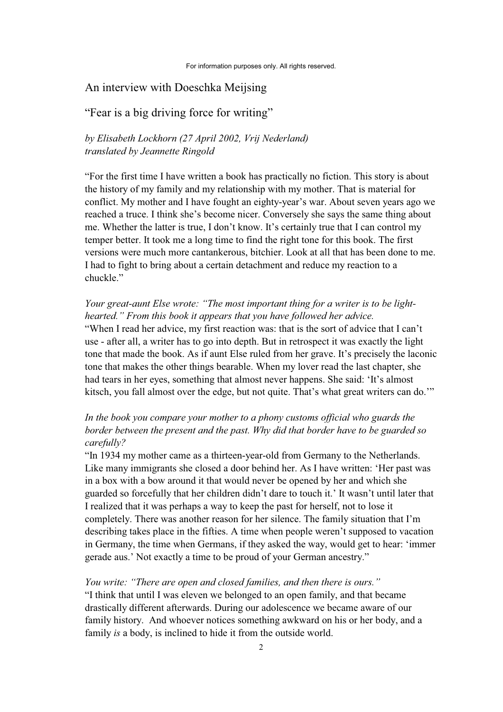## An interview with Doeschka Meijsing

# "Fear is a big driving force for writing"

## *by Elisabeth Lockhorn (27 April 2002, Vrij Nederland) translated by Jeannette Ringold*

"For the first time I have written a book has practically no fiction. This story is about the history of my family and my relationship with my mother. That is material for conflict. My mother and I have fought an eighty-year's war. About seven years ago we reached a truce. I think she's become nicer. Conversely she says the same thing about me. Whether the latter is true, I don't know. It's certainly true that I can control my temper better. It took me a long time to find the right tone for this book. The first versions were much more cantankerous, bitchier. Look at all that has been done to me. I had to fight to bring about a certain detachment and reduce my reaction to a chuckle."

## *Your great-aunt Else wrote: "The most important thing for a writer is to be lighthearted." From this book it appears that you have followed her advice.*

"When I read her advice, my first reaction was: that is the sort of advice that I can't use - after all, a writer has to go into depth. But in retrospect it was exactly the light tone that made the book. As if aunt Else ruled from her grave. It's precisely the laconic tone that makes the other things bearable. When my lover read the last chapter, she had tears in her eyes, something that almost never happens. She said: 'It's almost kitsch, you fall almost over the edge, but not quite. That's what great writers can do.'"

# *In the book you compare your mother to a phony customs official who guards the border between the present and the past. Why did that border have to be guarded so carefully?*

"In 1934 my mother came as a thirteen-year-old from Germany to the Netherlands. Like many immigrants she closed a door behind her. As I have written: 'Her past was in a box with a bow around it that would never be opened by her and which she guarded so forcefully that her children didn't dare to touch it.' It wasn't until later that I realized that it was perhaps a way to keep the past for herself, not to lose it completely. There was another reason for her silence. The family situation that I'm describing takes place in the fifties. A time when people weren't supposed to vacation in Germany, the time when Germans, if they asked the way, would get to hear: 'immer gerade aus.' Not exactly a time to be proud of your German ancestry."

## *You write: "There are open and closed families, and then there is ours."*

"I think that until I was eleven we belonged to an open family, and that became drastically different afterwards. During our adolescence we became aware of our family history. And whoever notices something awkward on his or her body, and a family *is* a body, is inclined to hide it from the outside world.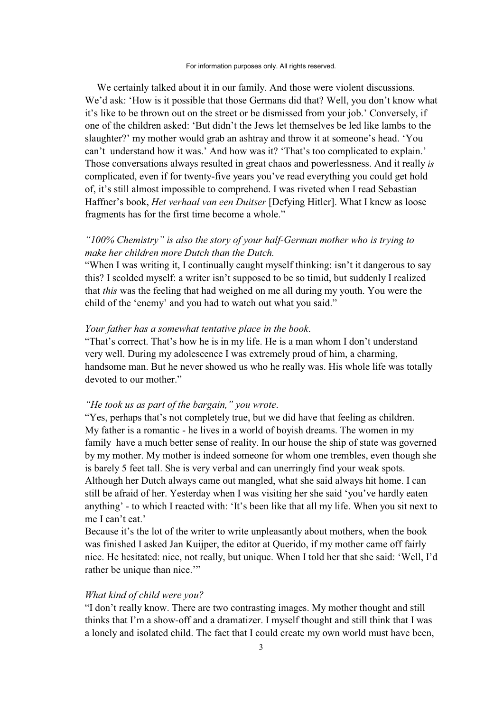We certainly talked about it in our family. And those were violent discussions. We'd ask: 'How is it possible that those Germans did that? Well, you don't know what it's like to be thrown out on the street or be dismissed from your job.' Conversely, if one of the children asked: 'But didn't the Jews let themselves be led like lambs to the slaughter?' my mother would grab an ashtray and throw it at someone's head. 'You can't understand how it was.' And how was it? 'That's too complicated to explain.' Those conversations always resulted in great chaos and powerlessness. And it really *is* complicated, even if for twenty-five years you've read everything you could get hold of, it's still almost impossible to comprehend. I was riveted when I read Sebastian Haffner's book, *Het verhaal van een Duitser* [Defying Hitler]. What I knew as loose fragments has for the first time become a whole."

# *"100% Chemistry" is also the story of your half-German mother who is trying to make her children more Dutch than the Dutch.*

"When I was writing it, I continually caught myself thinking: isn't it dangerous to say this? I scolded myself: a writer isn't supposed to be so timid, but suddenly I realized that *this* was the feeling that had weighed on me all during my youth. You were the child of the 'enemy' and you had to watch out what you said."

## *Your father has a somewhat tentative place in the book*.

"That's correct. That's how he is in my life. He is a man whom I don't understand very well. During my adolescence I was extremely proud of him, a charming, handsome man. But he never showed us who he really was. His whole life was totally devoted to our mother."

## *"He took us as part of the bargain," you wrote*.

"Yes, perhaps that's not completely true, but we did have that feeling as children. My father is a romantic - he lives in a world of boyish dreams. The women in my family have a much better sense of reality. In our house the ship of state was governed by my mother. My mother is indeed someone for whom one trembles, even though she is barely 5 feet tall. She is very verbal and can unerringly find your weak spots. Although her Dutch always came out mangled, what she said always hit home. I can still be afraid of her. Yesterday when I was visiting her she said 'you've hardly eaten anything' - to which I reacted with: 'It's been like that all my life. When you sit next to me I can't eat.'

Because it's the lot of the writer to write unpleasantly about mothers, when the book was finished I asked Jan Kuijper, the editor at Querido, if my mother came off fairly nice. He hesitated: nice, not really, but unique. When I told her that she said: 'Well, I'd rather be unique than nice."

## *What kind of child were you?*

"I don't really know. There are two contrasting images. My mother thought and still thinks that I'm a show-off and a dramatizer. I myself thought and still think that I was a lonely and isolated child. The fact that I could create my own world must have been,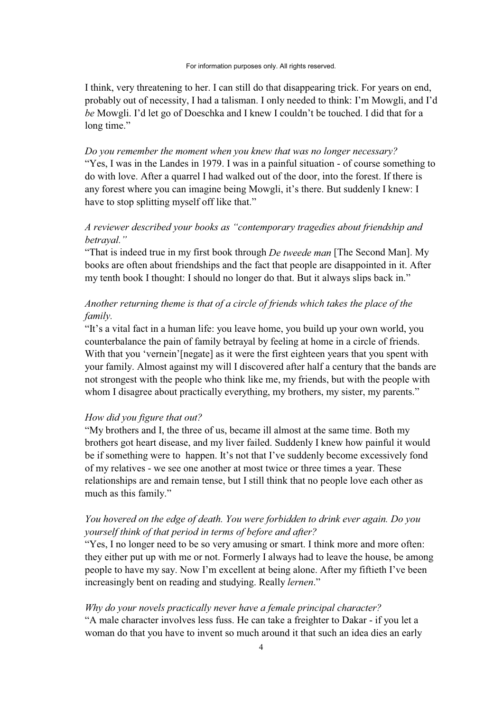#### For information purposes only. All rights reserved.

I think, very threatening to her. I can still do that disappearing trick. For years on end, probably out of necessity, I had a talisman. I only needed to think: I'm Mowgli, and I'd *be* Mowgli. I'd let go of Doeschka and I knew I couldn't be touched. I did that for a long time."

*Do you remember the moment when you knew that was no longer necessary?* "Yes, I was in the Landes in 1979. I was in a painful situation - of course something to do with love. After a quarrel I had walked out of the door, into the forest. If there is any forest where you can imagine being Mowgli, it's there. But suddenly I knew: I have to stop splitting myself off like that."

## *A reviewer described your books as "contemporary tragedies about friendship and betrayal."*

"That is indeed true in my first book through *De tweede man* [The Second Man]. My books are often about friendships and the fact that people are disappointed in it. After my tenth book I thought: I should no longer do that. But it always slips back in."

# *Another returning theme is that of a circle of friends which takes the place of the family.*

"It's a vital fact in a human life: you leave home, you build up your own world, you counterbalance the pain of family betrayal by feeling at home in a circle of friends. With that you 'vernein'[negate] as it were the first eighteen years that you spent with your family. Almost against my will I discovered after half a century that the bands are not strongest with the people who think like me, my friends, but with the people with whom I disagree about practically everything, my brothers, my sister, my parents."

## *How did you figure that out?*

"My brothers and I, the three of us, became ill almost at the same time. Both my brothers got heart disease, and my liver failed. Suddenly I knew how painful it would be if something were to happen. It's not that I've suddenly become excessively fond of my relatives - we see one another at most twice or three times a year. These relationships are and remain tense, but I still think that no people love each other as much as this family."

# *You hovered on the edge of death. You were forbidden to drink ever again. Do you yourself think of that period in terms of before and after?*

"Yes, I no longer need to be so very amusing or smart. I think more and more often: they either put up with me or not. Formerly I always had to leave the house, be among people to have my say. Now I'm excellent at being alone. After my fiftieth I've been increasingly bent on reading and studying. Really *lernen*."

# *Why do your novels practically never have a female principal character?*

"A male character involves less fuss. He can take a freighter to Dakar - if you let a woman do that you have to invent so much around it that such an idea dies an early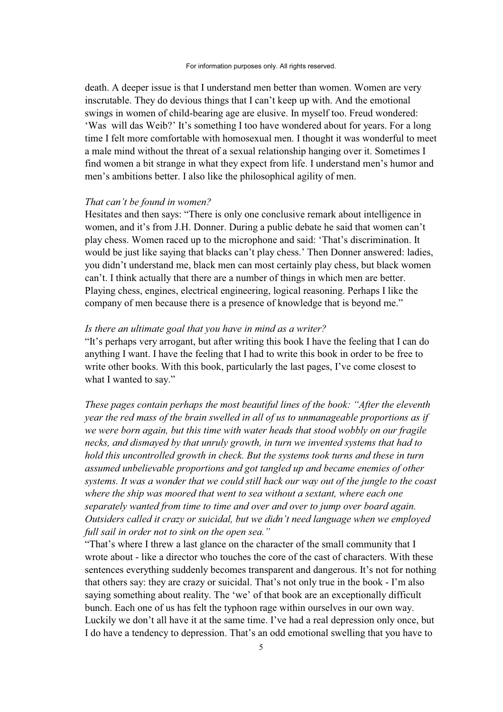death. A deeper issue is that I understand men better than women. Women are very inscrutable. They do devious things that I can't keep up with. And the emotional swings in women of child-bearing age are elusive. In myself too. Freud wondered: 'Was will das Weib?' It's something I too have wondered about for years. For a long time I felt more comfortable with homosexual men. I thought it was wonderful to meet a male mind without the threat of a sexual relationship hanging over it. Sometimes I find women a bit strange in what they expect from life. I understand men's humor and men's ambitions better. I also like the philosophical agility of men.

### *That can't be found in women?*

Hesitates and then says: "There is only one conclusive remark about intelligence in women, and it's from J.H. Donner. During a public debate he said that women can't play chess. Women raced up to the microphone and said: 'That's discrimination. It would be just like saying that blacks can't play chess.' Then Donner answered: ladies, you didn't understand me, black men can most certainly play chess, but black women can't. I think actually that there are a number of things in which men are better. Playing chess, engines, electrical engineering, logical reasoning. Perhaps I like the company of men because there is a presence of knowledge that is beyond me."

## *Is there an ultimate goal that you have in mind as a writer?*

"It's perhaps very arrogant, but after writing this book I have the feeling that I can do anything I want. I have the feeling that I had to write this book in order to be free to write other books. With this book, particularly the last pages, I've come closest to what I wanted to say."

*These pages contain perhaps the most beautiful lines of the book: "After the eleventh year the red mass of the brain swelled in all of us to unmanageable proportions as if we were born again, but this time with water heads that stood wobbly on our fragile necks, and dismayed by that unruly growth, in turn we invented systems that had to hold this uncontrolled growth in check. But the systems took turns and these in turn assumed unbelievable proportions and got tangled up and became enemies of other systems. It was a wonder that we could still hack our way out of the jungle to the coast where the ship was moored that went to sea without a sextant, where each one separately wanted from time to time and over and over to jump over board again. Outsiders called it crazy or suicidal, but we didn't need language when we employed full sail in order not to sink on the open sea."* 

"That's where I threw a last glance on the character of the small community that I wrote about - like a director who touches the core of the cast of characters. With these sentences everything suddenly becomes transparent and dangerous. It's not for nothing that others say: they are crazy or suicidal. That's not only true in the book - I'm also saying something about reality. The 'we' of that book are an exceptionally difficult bunch. Each one of us has felt the typhoon rage within ourselves in our own way. Luckily we don't all have it at the same time. I've had a real depression only once, but I do have a tendency to depression. That's an odd emotional swelling that you have to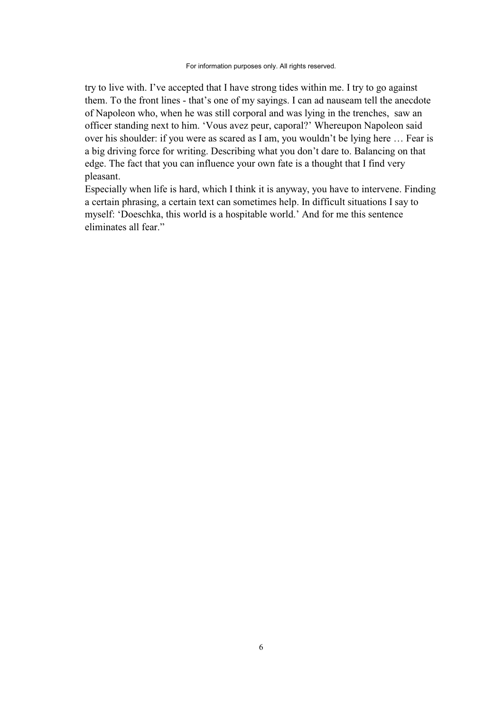#### For information purposes only. All rights reserved.

try to live with. I've accepted that I have strong tides within me. I try to go against them. To the front lines - that's one of my sayings. I can ad nauseam tell the anecdote of Napoleon who, when he was still corporal and was lying in the trenches, saw an officer standing next to him. 'Vous avez peur, caporal?' Whereupon Napoleon said over his shoulder: if you were as scared as I am, you wouldn't be lying here … Fear is a big driving force for writing. Describing what you don't dare to. Balancing on that edge. The fact that you can influence your own fate is a thought that I find very pleasant.

Especially when life is hard, which I think it is anyway, you have to intervene. Finding a certain phrasing, a certain text can sometimes help. In difficult situations I say to myself: 'Doeschka, this world is a hospitable world.' And for me this sentence eliminates all fear."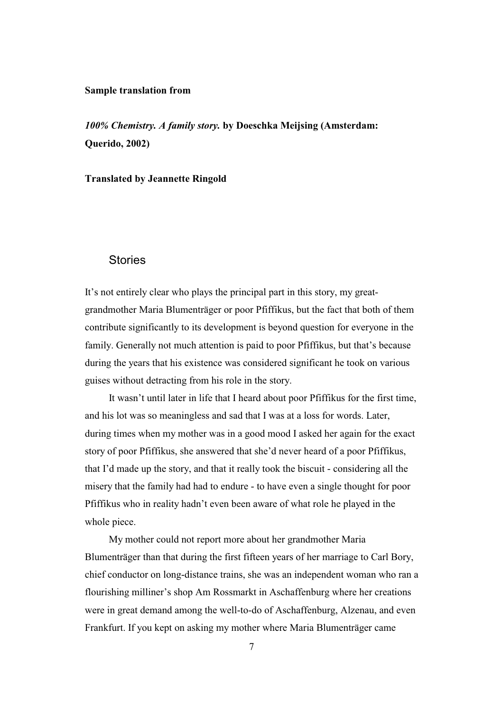## **Sample translation from**

*100% Chemistry. A family story.* **by Doeschka Meijsing (Amsterdam: Querido, 2002)** 

## **Translated by Jeannette Ringold**

## **Stories**

It's not entirely clear who plays the principal part in this story, my greatgrandmother Maria Blumenträger or poor Pfiffikus, but the fact that both of them contribute significantly to its development is beyond question for everyone in the family. Generally not much attention is paid to poor Pfiffikus, but that's because during the years that his existence was considered significant he took on various guises without detracting from his role in the story.

It wasn't until later in life that I heard about poor Pfiffikus for the first time, and his lot was so meaningless and sad that I was at a loss for words. Later, during times when my mother was in a good mood I asked her again for the exact story of poor Pfiffikus, she answered that she'd never heard of a poor Pfiffikus, that I'd made up the story, and that it really took the biscuit - considering all the misery that the family had had to endure - to have even a single thought for poor Pfiffikus who in reality hadn't even been aware of what role he played in the whole piece.

My mother could not report more about her grandmother Maria Blumenträger than that during the first fifteen years of her marriage to Carl Bory, chief conductor on long-distance trains, she was an independent woman who ran a flourishing milliner's shop Am Rossmarkt in Aschaffenburg where her creations were in great demand among the well-to-do of Aschaffenburg, Alzenau, and even Frankfurt. If you kept on asking my mother where Maria Blumenträger came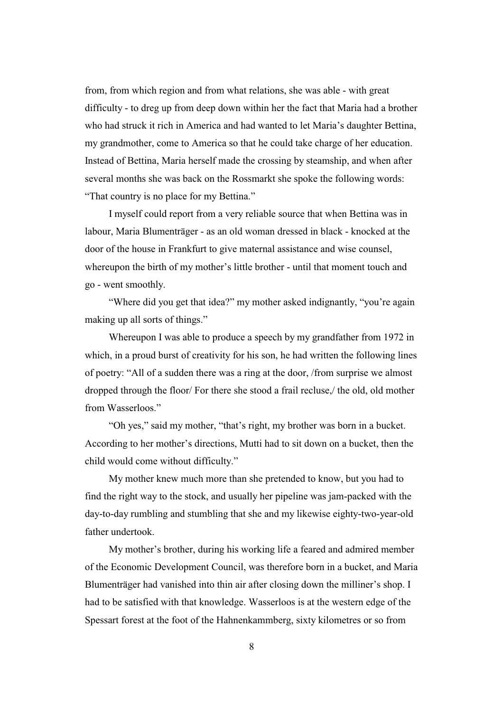from, from which region and from what relations, she was able - with great difficulty - to dreg up from deep down within her the fact that Maria had a brother who had struck it rich in America and had wanted to let Maria's daughter Bettina, my grandmother, come to America so that he could take charge of her education. Instead of Bettina, Maria herself made the crossing by steamship, and when after several months she was back on the Rossmarkt she spoke the following words: "That country is no place for my Bettina."

I myself could report from a very reliable source that when Bettina was in labour, Maria Blumenträger - as an old woman dressed in black - knocked at the door of the house in Frankfurt to give maternal assistance and wise counsel, whereupon the birth of my mother's little brother - until that moment touch and go - went smoothly.

"Where did you get that idea?" my mother asked indignantly, "you're again making up all sorts of things."

Whereupon I was able to produce a speech by my grandfather from 1972 in which, in a proud burst of creativity for his son, he had written the following lines of poetry: "All of a sudden there was a ring at the door, /from surprise we almost dropped through the floor/ For there she stood a frail recluse,/ the old, old mother from Wasserloos."

"Oh yes," said my mother, "that's right, my brother was born in a bucket. According to her mother's directions, Mutti had to sit down on a bucket, then the child would come without difficulty."

My mother knew much more than she pretended to know, but you had to find the right way to the stock, and usually her pipeline was jam-packed with the day-to-day rumbling and stumbling that she and my likewise eighty-two-year-old father undertook.

My mother's brother, during his working life a feared and admired member of the Economic Development Council, was therefore born in a bucket, and Maria Blumenträger had vanished into thin air after closing down the milliner's shop. I had to be satisfied with that knowledge. Wasserloos is at the western edge of the Spessart forest at the foot of the Hahnenkammberg, sixty kilometres or so from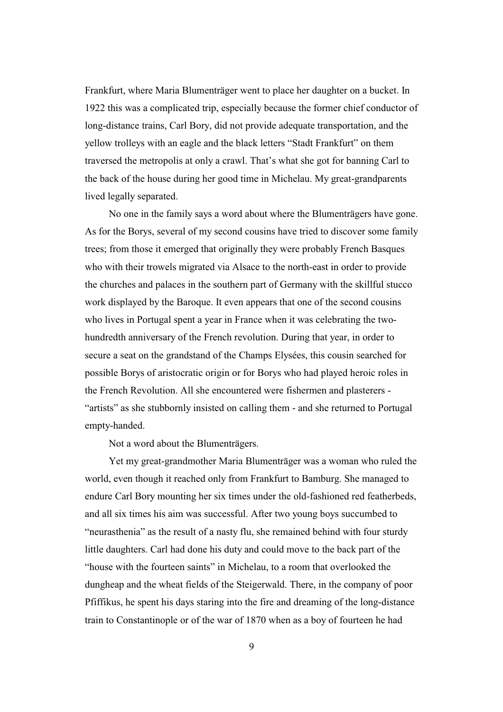Frankfurt, where Maria Blumenträger went to place her daughter on a bucket. In 1922 this was a complicated trip, especially because the former chief conductor of long-distance trains, Carl Bory, did not provide adequate transportation, and the yellow trolleys with an eagle and the black letters "Stadt Frankfurt" on them traversed the metropolis at only a crawl. That's what she got for banning Carl to the back of the house during her good time in Michelau. My great-grandparents lived legally separated.

No one in the family says a word about where the Blumenträgers have gone. As for the Borys, several of my second cousins have tried to discover some family trees; from those it emerged that originally they were probably French Basques who with their trowels migrated via Alsace to the north-east in order to provide the churches and palaces in the southern part of Germany with the skillful stucco work displayed by the Baroque. It even appears that one of the second cousins who lives in Portugal spent a year in France when it was celebrating the twohundredth anniversary of the French revolution. During that year, in order to secure a seat on the grandstand of the Champs Elysées, this cousin searched for possible Borys of aristocratic origin or for Borys who had played heroic roles in the French Revolution. All she encountered were fishermen and plasterers - "artists" as she stubbornly insisted on calling them - and she returned to Portugal empty-handed.

Not a word about the Blumenträgers.

Yet my great-grandmother Maria Blumenträger was a woman who ruled the world, even though it reached only from Frankfurt to Bamburg. She managed to endure Carl Bory mounting her six times under the old-fashioned red featherbeds, and all six times his aim was successful. After two young boys succumbed to "neurasthenia" as the result of a nasty flu, she remained behind with four sturdy little daughters. Carl had done his duty and could move to the back part of the "house with the fourteen saints" in Michelau, to a room that overlooked the dungheap and the wheat fields of the Steigerwald. There, in the company of poor Pfiffikus, he spent his days staring into the fire and dreaming of the long-distance train to Constantinople or of the war of 1870 when as a boy of fourteen he had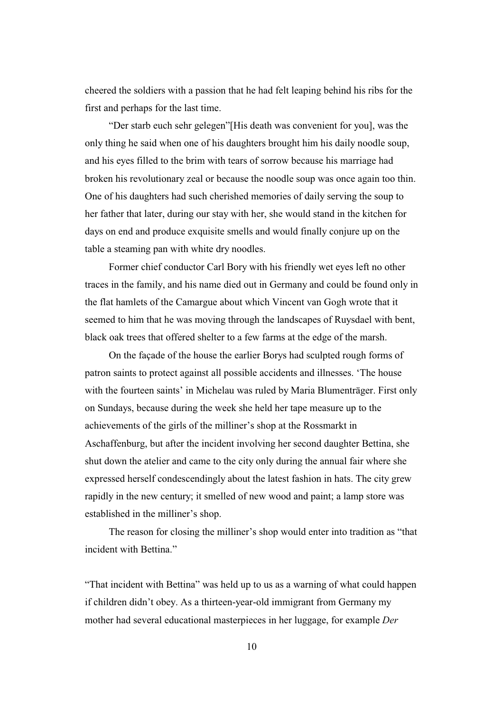cheered the soldiers with a passion that he had felt leaping behind his ribs for the first and perhaps for the last time.

"Der starb euch sehr gelegen"[His death was convenient for you], was the only thing he said when one of his daughters brought him his daily noodle soup, and his eyes filled to the brim with tears of sorrow because his marriage had broken his revolutionary zeal or because the noodle soup was once again too thin. One of his daughters had such cherished memories of daily serving the soup to her father that later, during our stay with her, she would stand in the kitchen for days on end and produce exquisite smells and would finally conjure up on the table a steaming pan with white dry noodles.

Former chief conductor Carl Bory with his friendly wet eyes left no other traces in the family, and his name died out in Germany and could be found only in the flat hamlets of the Camargue about which Vincent van Gogh wrote that it seemed to him that he was moving through the landscapes of Ruysdael with bent, black oak trees that offered shelter to a few farms at the edge of the marsh.

On the façade of the house the earlier Borys had sculpted rough forms of patron saints to protect against all possible accidents and illnesses. 'The house with the fourteen saints' in Michelau was ruled by Maria Blumenträger. First only on Sundays, because during the week she held her tape measure up to the achievements of the girls of the milliner's shop at the Rossmarkt in Aschaffenburg, but after the incident involving her second daughter Bettina, she shut down the atelier and came to the city only during the annual fair where she expressed herself condescendingly about the latest fashion in hats. The city grew rapidly in the new century; it smelled of new wood and paint; a lamp store was established in the milliner's shop.

The reason for closing the milliner's shop would enter into tradition as "that incident with Bettina."

"That incident with Bettina" was held up to us as a warning of what could happen if children didn't obey. As a thirteen-year-old immigrant from Germany my mother had several educational masterpieces in her luggage, for example *Der*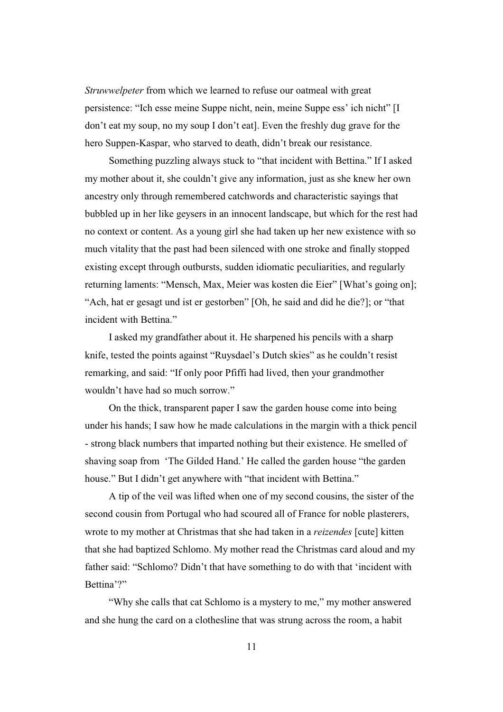*Struwwelpeter* from which we learned to refuse our oatmeal with great persistence: "Ich esse meine Suppe nicht, nein, meine Suppe ess' ich nicht" [I don't eat my soup, no my soup I don't eat]. Even the freshly dug grave for the hero Suppen-Kaspar, who starved to death, didn't break our resistance.

Something puzzling always stuck to "that incident with Bettina." If I asked my mother about it, she couldn't give any information, just as she knew her own ancestry only through remembered catchwords and characteristic sayings that bubbled up in her like geysers in an innocent landscape, but which for the rest had no context or content. As a young girl she had taken up her new existence with so much vitality that the past had been silenced with one stroke and finally stopped existing except through outbursts, sudden idiomatic peculiarities, and regularly returning laments: "Mensch, Max, Meier was kosten die Eier" [What's going on]; "Ach, hat er gesagt und ist er gestorben" [Oh, he said and did he die?]; or "that incident with Bettina."

I asked my grandfather about it. He sharpened his pencils with a sharp knife, tested the points against "Ruysdael's Dutch skies" as he couldn't resist remarking, and said: "If only poor Pfiffi had lived, then your grandmother wouldn't have had so much sorrow."

On the thick, transparent paper I saw the garden house come into being under his hands; I saw how he made calculations in the margin with a thick pencil - strong black numbers that imparted nothing but their existence. He smelled of shaving soap from 'The Gilded Hand.' He called the garden house "the garden house." But I didn't get anywhere with "that incident with Bettina."

A tip of the veil was lifted when one of my second cousins, the sister of the second cousin from Portugal who had scoured all of France for noble plasterers, wrote to my mother at Christmas that she had taken in a *reizendes* [cute] kitten that she had baptized Schlomo. My mother read the Christmas card aloud and my father said: "Schlomo? Didn't that have something to do with that 'incident with Bettina'?"

"Why she calls that cat Schlomo is a mystery to me," my mother answered and she hung the card on a clothesline that was strung across the room, a habit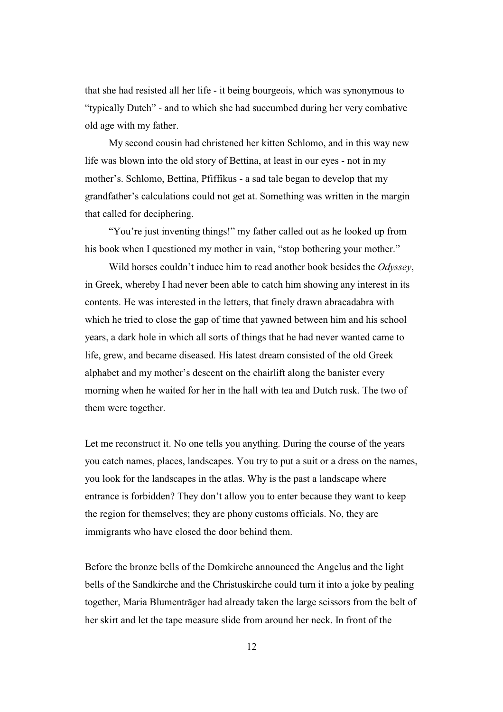that she had resisted all her life - it being bourgeois, which was synonymous to "typically Dutch" - and to which she had succumbed during her very combative old age with my father.

My second cousin had christened her kitten Schlomo, and in this way new life was blown into the old story of Bettina, at least in our eyes - not in my mother's. Schlomo, Bettina, Pfiffikus - a sad tale began to develop that my grandfather's calculations could not get at. Something was written in the margin that called for deciphering.

"You're just inventing things!" my father called out as he looked up from his book when I questioned my mother in vain, "stop bothering your mother."

Wild horses couldn't induce him to read another book besides the *Odyssey*, in Greek, whereby I had never been able to catch him showing any interest in its contents. He was interested in the letters, that finely drawn abracadabra with which he tried to close the gap of time that yawned between him and his school years, a dark hole in which all sorts of things that he had never wanted came to life, grew, and became diseased. His latest dream consisted of the old Greek alphabet and my mother's descent on the chairlift along the banister every morning when he waited for her in the hall with tea and Dutch rusk. The two of them were together.

Let me reconstruct it. No one tells you anything. During the course of the years you catch names, places, landscapes. You try to put a suit or a dress on the names, you look for the landscapes in the atlas. Why is the past a landscape where entrance is forbidden? They don't allow you to enter because they want to keep the region for themselves; they are phony customs officials. No, they are immigrants who have closed the door behind them.

Before the bronze bells of the Domkirche announced the Angelus and the light bells of the Sandkirche and the Christuskirche could turn it into a joke by pealing together, Maria Blumenträger had already taken the large scissors from the belt of her skirt and let the tape measure slide from around her neck. In front of the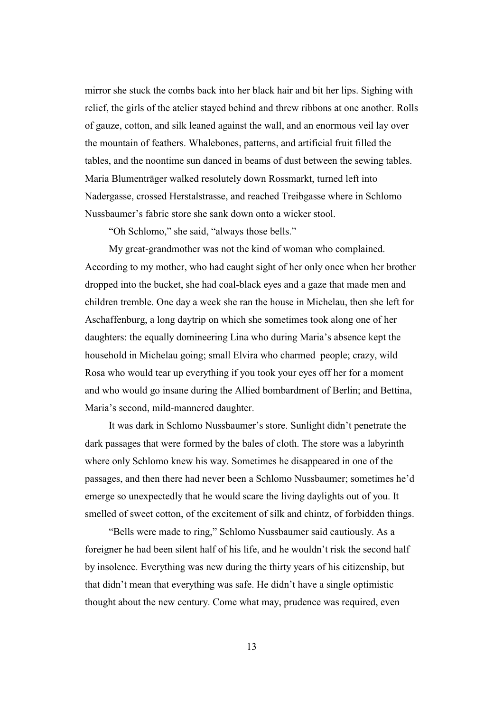mirror she stuck the combs back into her black hair and bit her lips. Sighing with relief, the girls of the atelier stayed behind and threw ribbons at one another. Rolls of gauze, cotton, and silk leaned against the wall, and an enormous veil lay over the mountain of feathers. Whalebones, patterns, and artificial fruit filled the tables, and the noontime sun danced in beams of dust between the sewing tables. Maria Blumenträger walked resolutely down Rossmarkt, turned left into Nadergasse, crossed Herstalstrasse, and reached Treibgasse where in Schlomo Nussbaumer's fabric store she sank down onto a wicker stool.

"Oh Schlomo," she said, "always those bells."

My great-grandmother was not the kind of woman who complained. According to my mother, who had caught sight of her only once when her brother dropped into the bucket, she had coal-black eyes and a gaze that made men and children tremble. One day a week she ran the house in Michelau, then she left for Aschaffenburg, a long daytrip on which she sometimes took along one of her daughters: the equally domineering Lina who during Maria's absence kept the household in Michelau going; small Elvira who charmed people; crazy, wild Rosa who would tear up everything if you took your eyes off her for a moment and who would go insane during the Allied bombardment of Berlin; and Bettina, Maria's second, mild-mannered daughter.

It was dark in Schlomo Nussbaumer's store. Sunlight didn't penetrate the dark passages that were formed by the bales of cloth. The store was a labyrinth where only Schlomo knew his way. Sometimes he disappeared in one of the passages, and then there had never been a Schlomo Nussbaumer; sometimes he'd emerge so unexpectedly that he would scare the living daylights out of you. It smelled of sweet cotton, of the excitement of silk and chintz, of forbidden things.

"Bells were made to ring," Schlomo Nussbaumer said cautiously. As a foreigner he had been silent half of his life, and he wouldn't risk the second half by insolence. Everything was new during the thirty years of his citizenship, but that didn't mean that everything was safe. He didn't have a single optimistic thought about the new century. Come what may, prudence was required, even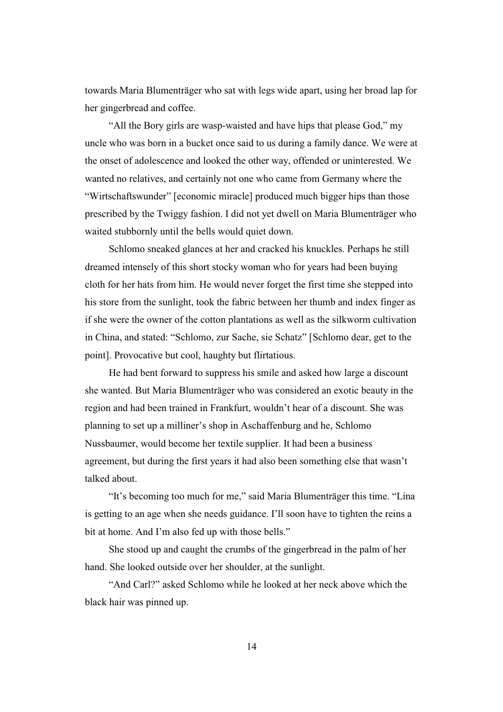towards Maria Blumenträger who sat with legs wide apart, using her broad lap for her gingerbread and coffee.

"All the Bory girls are wasp-waisted and have hips that please God," my uncle who was born in a bucket once said to us during a family dance. We were at the onset of adolescence and looked the other way, offended or uninterested. We wanted no relatives, and certainly not one who came from Germany where the "Wirtschaftswunder" [economic miracle] produced much bigger hips than those prescribed by the Twiggy fashion. I did not yet dwell on Maria Blumenträger who waited stubbornly until the bells would quiet down.

Schlomo sneaked glances at her and cracked his knuckles. Perhaps he still dreamed intensely of this short stocky woman who for years had been buying cloth for her hats from him. He would never forget the first time she stepped into his store from the sunlight, took the fabric between her thumb and index finger as if she were the owner of the cotton plantations as well as the silkworm cultivation in China, and stated: "Schlomo, zur Sache, sie Schatz" [Schlomo dear, get to the point]. Provocative but cool, haughty but flirtatious.

He had bent forward to suppress his smile and asked how large a discount she wanted. But Maria Blumenträger who was considered an exotic beauty in the region and had been trained in Frankfurt, wouldn't hear of a discount. She was planning to set up a milliner's shop in Aschaffenburg and he, Schlomo Nussbaumer, would become her textile supplier. It had been a business agreement, but during the first years it had also been something else that wasn't talked about.

"It's becoming too much for me," said Maria Blumenträger this time. "Lina is getting to an age when she needs guidance. I'll soon have to tighten the reins a bit at home. And I'm also fed up with those bells."

She stood up and caught the crumbs of the gingerbread in the palm of her hand. She looked outside over her shoulder, at the sunlight.

"And Carl?" asked Schlomo while he looked at her neck above which the black hair was pinned up.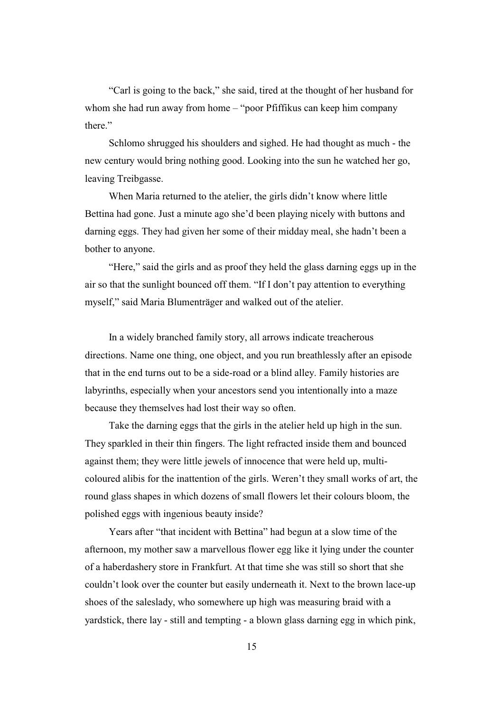"Carl is going to the back," she said, tired at the thought of her husband for whom she had run away from home – "poor Pfiffikus can keep him company" there."

Schlomo shrugged his shoulders and sighed. He had thought as much - the new century would bring nothing good. Looking into the sun he watched her go, leaving Treibgasse.

When Maria returned to the atelier, the girls didn't know where little Bettina had gone. Just a minute ago she'd been playing nicely with buttons and darning eggs. They had given her some of their midday meal, she hadn't been a bother to anyone.

"Here," said the girls and as proof they held the glass darning eggs up in the air so that the sunlight bounced off them. "If I don't pay attention to everything myself," said Maria Blumenträger and walked out of the atelier.

In a widely branched family story, all arrows indicate treacherous directions. Name one thing, one object, and you run breathlessly after an episode that in the end turns out to be a side-road or a blind alley. Family histories are labyrinths, especially when your ancestors send you intentionally into a maze because they themselves had lost their way so often.

Take the darning eggs that the girls in the atelier held up high in the sun. They sparkled in their thin fingers. The light refracted inside them and bounced against them; they were little jewels of innocence that were held up, multicoloured alibis for the inattention of the girls. Weren't they small works of art, the round glass shapes in which dozens of small flowers let their colours bloom, the polished eggs with ingenious beauty inside?

Years after "that incident with Bettina" had begun at a slow time of the afternoon, my mother saw a marvellous flower egg like it lying under the counter of a haberdashery store in Frankfurt. At that time she was still so short that she couldn't look over the counter but easily underneath it. Next to the brown lace-up shoes of the saleslady, who somewhere up high was measuring braid with a yardstick, there lay - still and tempting - a blown glass darning egg in which pink,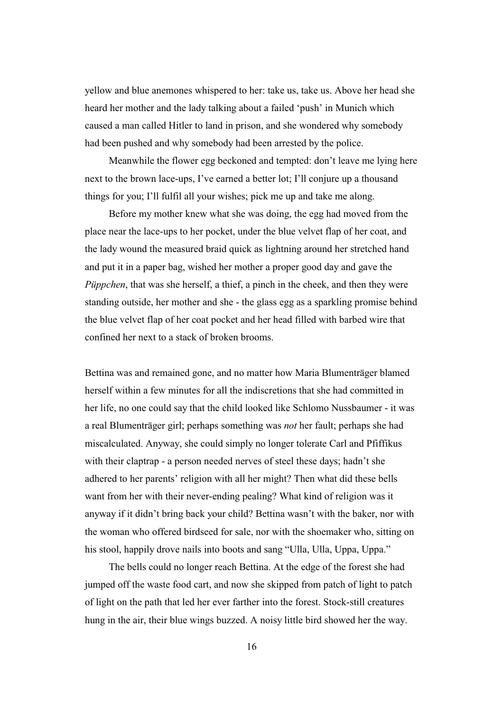yellow and blue anemones whispered to her: take us, take us. Above her head she heard her mother and the lady talking about a failed 'push' in Munich which caused a man called Hitler to land in prison, and she wondered why somebody had been pushed and why somebody had been arrested by the police.

Meanwhile the flower egg beckoned and tempted: don't leave me lying here next to the brown lace-ups, I've earned a better lot; I'll conjure up a thousand things for you; I'll fulfil all your wishes; pick me up and take me along.

Before my mother knew what she was doing, the egg had moved from the place near the lace-ups to her pocket, under the blue velvet flap of her coat, and the lady wound the measured braid quick as lightning around her stretched hand and put it in a paper bag, wished her mother a proper good day and gave the *Püppchen*, that was she herself, a thief, a pinch in the cheek, and then they were standing outside, her mother and she - the glass egg as a sparkling promise behind the blue velvet flap of her coat pocket and her head filled with barbed wire that confined her next to a stack of broken brooms.

Bettina was and remained gone, and no matter how Maria Blumenträger blamed herself within a few minutes for all the indiscretions that she had committed in her life, no one could say that the child looked like Schlomo Nussbaumer - it was a real Blumenträger girl; perhaps something was *not* her fault; perhaps she had miscalculated. Anyway, she could simply no longer tolerate Carl and Pfiffikus with their claptrap - a person needed nerves of steel these days; hadn't she adhered to her parents' religion with all her might? Then what did these bells want from her with their never-ending pealing? What kind of religion was it anyway if it didn't bring back your child? Bettina wasn't with the baker, nor with the woman who offered birdseed for sale, nor with the shoemaker who, sitting on his stool, happily drove nails into boots and sang "Ulla, Ulla, Uppa, Uppa."

The bells could no longer reach Bettina. At the edge of the forest she had jumped off the waste food cart, and now she skipped from patch of light to patch of light on the path that led her ever farther into the forest. Stock-still creatures hung in the air, their blue wings buzzed. A noisy little bird showed her the way.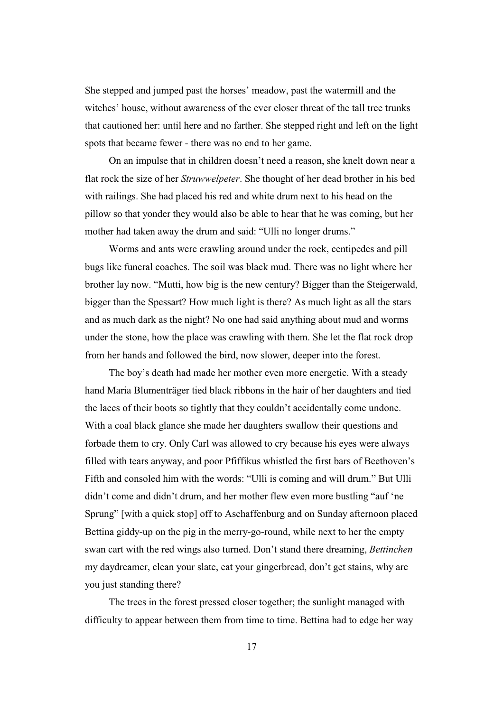She stepped and jumped past the horses' meadow, past the watermill and the witches' house, without awareness of the ever closer threat of the tall tree trunks that cautioned her: until here and no farther. She stepped right and left on the light spots that became fewer - there was no end to her game.

On an impulse that in children doesn't need a reason, she knelt down near a flat rock the size of her *Struwwelpeter*. She thought of her dead brother in his bed with railings. She had placed his red and white drum next to his head on the pillow so that yonder they would also be able to hear that he was coming, but her mother had taken away the drum and said: "Ulli no longer drums."

Worms and ants were crawling around under the rock, centipedes and pill bugs like funeral coaches. The soil was black mud. There was no light where her brother lay now. "Mutti, how big is the new century? Bigger than the Steigerwald, bigger than the Spessart? How much light is there? As much light as all the stars and as much dark as the night? No one had said anything about mud and worms under the stone, how the place was crawling with them. She let the flat rock drop from her hands and followed the bird, now slower, deeper into the forest.

The boy's death had made her mother even more energetic. With a steady hand Maria Blumenträger tied black ribbons in the hair of her daughters and tied the laces of their boots so tightly that they couldn't accidentally come undone. With a coal black glance she made her daughters swallow their questions and forbade them to cry. Only Carl was allowed to cry because his eyes were always filled with tears anyway, and poor Pfiffikus whistled the first bars of Beethoven's Fifth and consoled him with the words: "Ulli is coming and will drum." But Ulli didn't come and didn't drum, and her mother flew even more bustling "auf 'ne Sprung" [with a quick stop] off to Aschaffenburg and on Sunday afternoon placed Bettina giddy-up on the pig in the merry-go-round, while next to her the empty swan cart with the red wings also turned. Don't stand there dreaming, *Bettinchen* my daydreamer, clean your slate, eat your gingerbread, don't get stains, why are you just standing there?

The trees in the forest pressed closer together; the sunlight managed with difficulty to appear between them from time to time. Bettina had to edge her way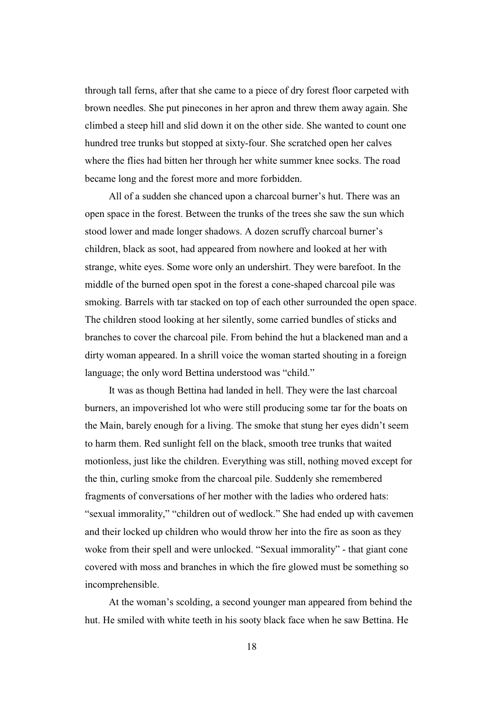through tall ferns, after that she came to a piece of dry forest floor carpeted with brown needles. She put pinecones in her apron and threw them away again. She climbed a steep hill and slid down it on the other side. She wanted to count one hundred tree trunks but stopped at sixty-four. She scratched open her calves where the flies had bitten her through her white summer knee socks. The road became long and the forest more and more forbidden.

All of a sudden she chanced upon a charcoal burner's hut. There was an open space in the forest. Between the trunks of the trees she saw the sun which stood lower and made longer shadows. A dozen scruffy charcoal burner's children, black as soot, had appeared from nowhere and looked at her with strange, white eyes. Some wore only an undershirt. They were barefoot. In the middle of the burned open spot in the forest a cone-shaped charcoal pile was smoking. Barrels with tar stacked on top of each other surrounded the open space. The children stood looking at her silently, some carried bundles of sticks and branches to cover the charcoal pile. From behind the hut a blackened man and a dirty woman appeared. In a shrill voice the woman started shouting in a foreign language; the only word Bettina understood was "child."

It was as though Bettina had landed in hell. They were the last charcoal burners, an impoverished lot who were still producing some tar for the boats on the Main, barely enough for a living. The smoke that stung her eyes didn't seem to harm them. Red sunlight fell on the black, smooth tree trunks that waited motionless, just like the children. Everything was still, nothing moved except for the thin, curling smoke from the charcoal pile. Suddenly she remembered fragments of conversations of her mother with the ladies who ordered hats: "sexual immorality," "children out of wedlock." She had ended up with cavemen and their locked up children who would throw her into the fire as soon as they woke from their spell and were unlocked. "Sexual immorality" - that giant cone covered with moss and branches in which the fire glowed must be something so incomprehensible.

At the woman's scolding, a second younger man appeared from behind the hut. He smiled with white teeth in his sooty black face when he saw Bettina. He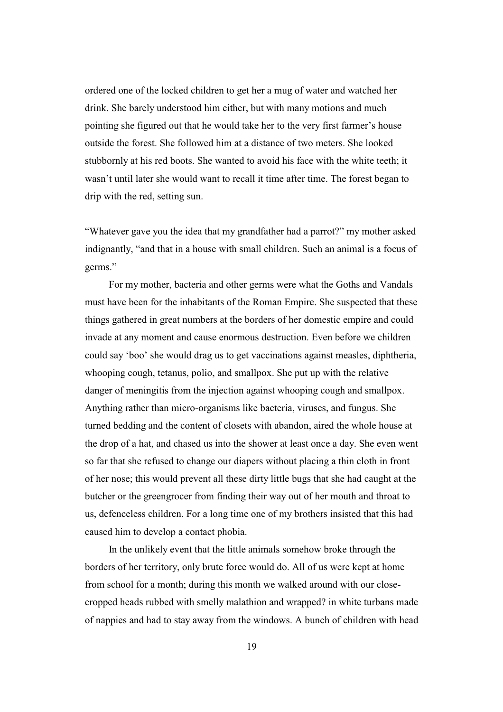ordered one of the locked children to get her a mug of water and watched her drink. She barely understood him either, but with many motions and much pointing she figured out that he would take her to the very first farmer's house outside the forest. She followed him at a distance of two meters. She looked stubbornly at his red boots. She wanted to avoid his face with the white teeth; it wasn't until later she would want to recall it time after time. The forest began to drip with the red, setting sun.

"Whatever gave you the idea that my grandfather had a parrot?" my mother asked indignantly, "and that in a house with small children. Such an animal is a focus of germs."

For my mother, bacteria and other germs were what the Goths and Vandals must have been for the inhabitants of the Roman Empire. She suspected that these things gathered in great numbers at the borders of her domestic empire and could invade at any moment and cause enormous destruction. Even before we children could say 'boo' she would drag us to get vaccinations against measles, diphtheria, whooping cough, tetanus, polio, and smallpox. She put up with the relative danger of meningitis from the injection against whooping cough and smallpox. Anything rather than micro-organisms like bacteria, viruses, and fungus. She turned bedding and the content of closets with abandon, aired the whole house at the drop of a hat, and chased us into the shower at least once a day. She even went so far that she refused to change our diapers without placing a thin cloth in front of her nose; this would prevent all these dirty little bugs that she had caught at the butcher or the greengrocer from finding their way out of her mouth and throat to us, defenceless children. For a long time one of my brothers insisted that this had caused him to develop a contact phobia.

In the unlikely event that the little animals somehow broke through the borders of her territory, only brute force would do. All of us were kept at home from school for a month; during this month we walked around with our closecropped heads rubbed with smelly malathion and wrapped? in white turbans made of nappies and had to stay away from the windows. A bunch of children with head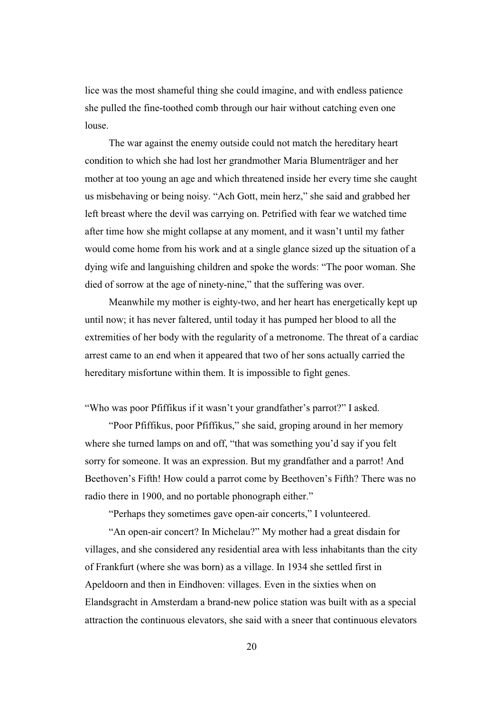lice was the most shameful thing she could imagine, and with endless patience she pulled the fine-toothed comb through our hair without catching even one louse.

The war against the enemy outside could not match the hereditary heart condition to which she had lost her grandmother Maria Blumenträger and her mother at too young an age and which threatened inside her every time she caught us misbehaving or being noisy. "Ach Gott, mein herz," she said and grabbed her left breast where the devil was carrying on. Petrified with fear we watched time after time how she might collapse at any moment, and it wasn't until my father would come home from his work and at a single glance sized up the situation of a dying wife and languishing children and spoke the words: "The poor woman. She died of sorrow at the age of ninety-nine," that the suffering was over.

Meanwhile my mother is eighty-two, and her heart has energetically kept up until now; it has never faltered, until today it has pumped her blood to all the extremities of her body with the regularity of a metronome. The threat of a cardiac arrest came to an end when it appeared that two of her sons actually carried the hereditary misfortune within them. It is impossible to fight genes.

"Who was poor Pfiffikus if it wasn't your grandfather's parrot?" I asked.

"Poor Pfiffikus, poor Pfiffikus," she said, groping around in her memory where she turned lamps on and off, "that was something you'd say if you felt sorry for someone. It was an expression. But my grandfather and a parrot! And Beethoven's Fifth! How could a parrot come by Beethoven's Fifth? There was no radio there in 1900, and no portable phonograph either."

"Perhaps they sometimes gave open-air concerts," I volunteered.

"An open-air concert? In Michelau?" My mother had a great disdain for villages, and she considered any residential area with less inhabitants than the city of Frankfurt (where she was born) as a village. In 1934 she settled first in Apeldoorn and then in Eindhoven: villages. Even in the sixties when on Elandsgracht in Amsterdam a brand-new police station was built with as a special attraction the continuous elevators, she said with a sneer that continuous elevators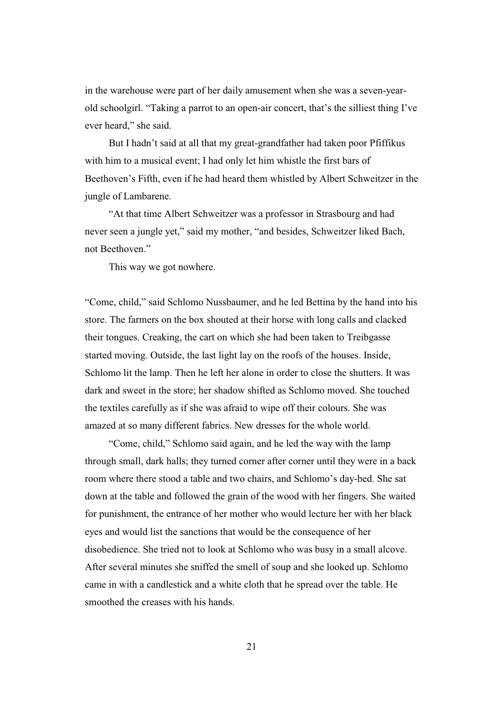in the warehouse were part of her daily amusement when she was a seven-yearold schoolgirl. "Taking a parrot to an open-air concert, that's the silliest thing I've ever heard," she said.

But I hadn't said at all that my great-grandfather had taken poor Pfiffikus with him to a musical event; I had only let him whistle the first bars of Beethoven's Fifth, even if he had heard them whistled by Albert Schweitzer in the jungle of Lambarene.

"At that time Albert Schweitzer was a professor in Strasbourg and had never seen a jungle yet," said my mother, "and besides, Schweitzer liked Bach, not Beethoven."

This way we got nowhere.

"Come, child," said Schlomo Nussbaumer, and he led Bettina by the hand into his store. The farmers on the box shouted at their horse with long calls and clacked their tongues. Creaking, the cart on which she had been taken to Treibgasse started moving. Outside, the last light lay on the roofs of the houses. Inside, Schlomo lit the lamp. Then he left her alone in order to close the shutters. It was dark and sweet in the store; her shadow shifted as Schlomo moved. She touched the textiles carefully as if she was afraid to wipe off their colours. She was amazed at so many different fabrics. New dresses for the whole world.

"Come, child," Schlomo said again, and he led the way with the lamp through small, dark halls; they turned corner after corner until they were in a back room where there stood a table and two chairs, and Schlomo's day-bed. She sat down at the table and followed the grain of the wood with her fingers. She waited for punishment, the entrance of her mother who would lecture her with her black eyes and would list the sanctions that would be the consequence of her disobedience. She tried not to look at Schlomo who was busy in a small alcove. After several minutes she sniffed the smell of soup and she looked up. Schlomo came in with a candlestick and a white cloth that he spread over the table. He smoothed the creases with his hands.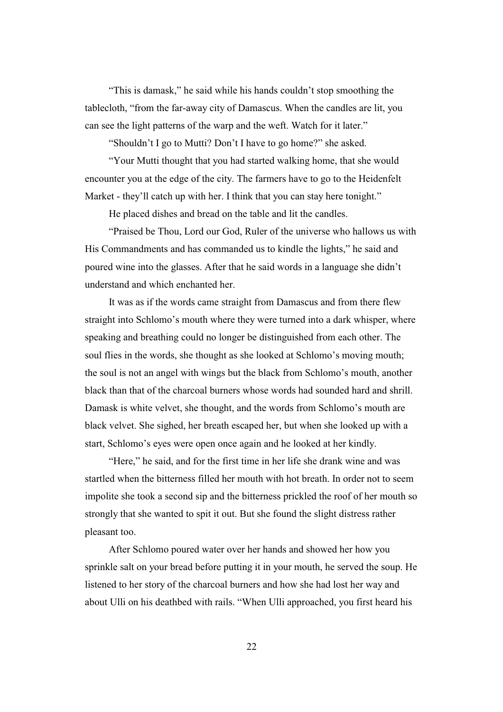"This is damask," he said while his hands couldn't stop smoothing the tablecloth, "from the far-away city of Damascus. When the candles are lit, you can see the light patterns of the warp and the weft. Watch for it later."

"Shouldn't I go to Mutti? Don't I have to go home?" she asked.

"Your Mutti thought that you had started walking home, that she would encounter you at the edge of the city. The farmers have to go to the Heidenfelt Market - they'll catch up with her. I think that you can stay here tonight."

He placed dishes and bread on the table and lit the candles.

"Praised be Thou, Lord our God, Ruler of the universe who hallows us with His Commandments and has commanded us to kindle the lights," he said and poured wine into the glasses. After that he said words in a language she didn't understand and which enchanted her.

It was as if the words came straight from Damascus and from there flew straight into Schlomo's mouth where they were turned into a dark whisper, where speaking and breathing could no longer be distinguished from each other. The soul flies in the words, she thought as she looked at Schlomo's moving mouth; the soul is not an angel with wings but the black from Schlomo's mouth, another black than that of the charcoal burners whose words had sounded hard and shrill. Damask is white velvet, she thought, and the words from Schlomo's mouth are black velvet. She sighed, her breath escaped her, but when she looked up with a start, Schlomo's eyes were open once again and he looked at her kindly.

"Here," he said, and for the first time in her life she drank wine and was startled when the bitterness filled her mouth with hot breath. In order not to seem impolite she took a second sip and the bitterness prickled the roof of her mouth so strongly that she wanted to spit it out. But she found the slight distress rather pleasant too.

After Schlomo poured water over her hands and showed her how you sprinkle salt on your bread before putting it in your mouth, he served the soup. He listened to her story of the charcoal burners and how she had lost her way and about Ulli on his deathbed with rails. "When Ulli approached, you first heard his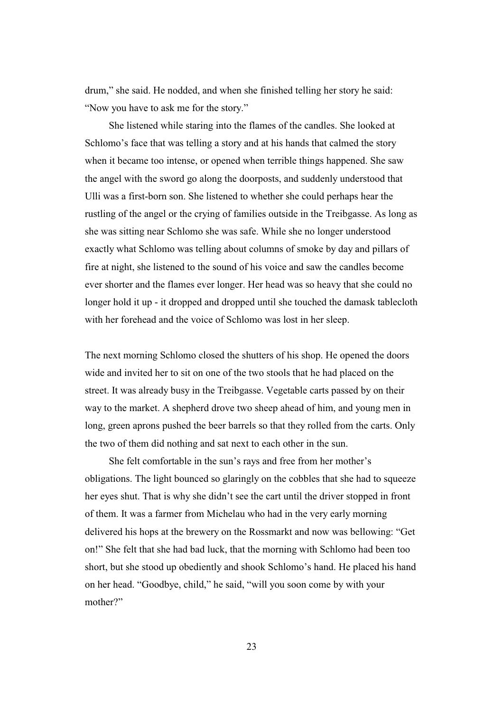drum," she said. He nodded, and when she finished telling her story he said: "Now you have to ask me for the story."

She listened while staring into the flames of the candles. She looked at Schlomo's face that was telling a story and at his hands that calmed the story when it became too intense, or opened when terrible things happened. She saw the angel with the sword go along the doorposts, and suddenly understood that Ulli was a first-born son. She listened to whether she could perhaps hear the rustling of the angel or the crying of families outside in the Treibgasse. As long as she was sitting near Schlomo she was safe. While she no longer understood exactly what Schlomo was telling about columns of smoke by day and pillars of fire at night, she listened to the sound of his voice and saw the candles become ever shorter and the flames ever longer. Her head was so heavy that she could no longer hold it up - it dropped and dropped until she touched the damask tablecloth with her forehead and the voice of Schlomo was lost in her sleep.

The next morning Schlomo closed the shutters of his shop. He opened the doors wide and invited her to sit on one of the two stools that he had placed on the street. It was already busy in the Treibgasse. Vegetable carts passed by on their way to the market. A shepherd drove two sheep ahead of him, and young men in long, green aprons pushed the beer barrels so that they rolled from the carts. Only the two of them did nothing and sat next to each other in the sun.

She felt comfortable in the sun's rays and free from her mother's obligations. The light bounced so glaringly on the cobbles that she had to squeeze her eyes shut. That is why she didn't see the cart until the driver stopped in front of them. It was a farmer from Michelau who had in the very early morning delivered his hops at the brewery on the Rossmarkt and now was bellowing: "Get on!" She felt that she had bad luck, that the morning with Schlomo had been too short, but she stood up obediently and shook Schlomo's hand. He placed his hand on her head. "Goodbye, child," he said, "will you soon come by with your mother?"

23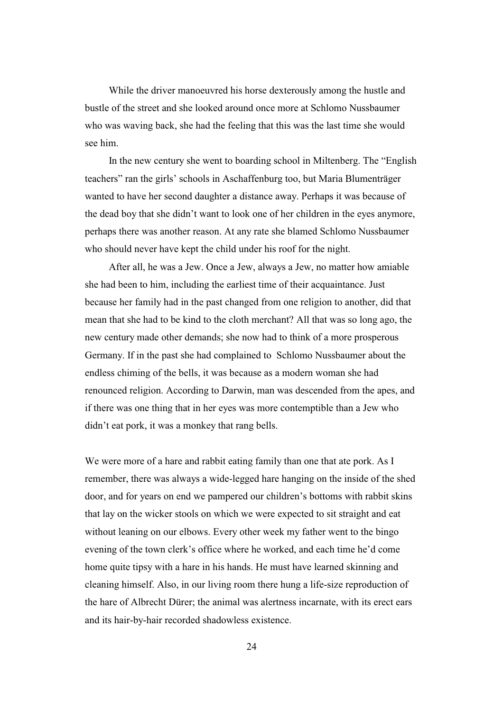While the driver manoeuvred his horse dexterously among the hustle and bustle of the street and she looked around once more at Schlomo Nussbaumer who was waving back, she had the feeling that this was the last time she would see him.

In the new century she went to boarding school in Miltenberg. The "English teachers" ran the girls' schools in Aschaffenburg too, but Maria Blumenträger wanted to have her second daughter a distance away. Perhaps it was because of the dead boy that she didn't want to look one of her children in the eyes anymore, perhaps there was another reason. At any rate she blamed Schlomo Nussbaumer who should never have kept the child under his roof for the night.

After all, he was a Jew. Once a Jew, always a Jew, no matter how amiable she had been to him, including the earliest time of their acquaintance. Just because her family had in the past changed from one religion to another, did that mean that she had to be kind to the cloth merchant? All that was so long ago, the new century made other demands; she now had to think of a more prosperous Germany. If in the past she had complained to Schlomo Nussbaumer about the endless chiming of the bells, it was because as a modern woman she had renounced religion. According to Darwin, man was descended from the apes, and if there was one thing that in her eyes was more contemptible than a Jew who didn't eat pork, it was a monkey that rang bells.

We were more of a hare and rabbit eating family than one that ate pork. As I remember, there was always a wide-legged hare hanging on the inside of the shed door, and for years on end we pampered our children's bottoms with rabbit skins that lay on the wicker stools on which we were expected to sit straight and eat without leaning on our elbows. Every other week my father went to the bingo evening of the town clerk's office where he worked, and each time he'd come home quite tipsy with a hare in his hands. He must have learned skinning and cleaning himself. Also, in our living room there hung a life-size reproduction of the hare of Albrecht Dürer; the animal was alertness incarnate, with its erect ears and its hair-by-hair recorded shadowless existence.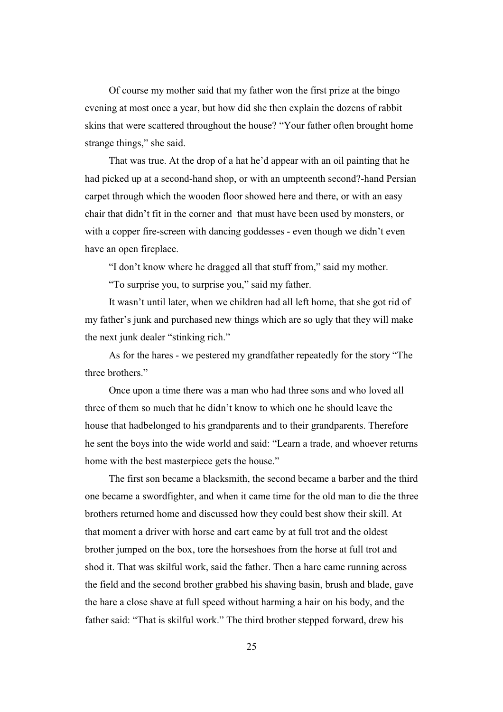Of course my mother said that my father won the first prize at the bingo evening at most once a year, but how did she then explain the dozens of rabbit skins that were scattered throughout the house? "Your father often brought home strange things," she said.

That was true. At the drop of a hat he'd appear with an oil painting that he had picked up at a second-hand shop, or with an umpteenth second?-hand Persian carpet through which the wooden floor showed here and there, or with an easy chair that didn't fit in the corner and that must have been used by monsters, or with a copper fire-screen with dancing goddesses - even though we didn't even have an open fireplace.

"I don't know where he dragged all that stuff from," said my mother.

"To surprise you, to surprise you," said my father.

It wasn't until later, when we children had all left home, that she got rid of my father's junk and purchased new things which are so ugly that they will make the next junk dealer "stinking rich."

As for the hares - we pestered my grandfather repeatedly for the story "The three brothers."

Once upon a time there was a man who had three sons and who loved all three of them so much that he didn't know to which one he should leave the house that hadbelonged to his grandparents and to their grandparents. Therefore he sent the boys into the wide world and said: "Learn a trade, and whoever returns home with the best masterpiece gets the house."

The first son became a blacksmith, the second became a barber and the third one became a swordfighter, and when it came time for the old man to die the three brothers returned home and discussed how they could best show their skill. At that moment a driver with horse and cart came by at full trot and the oldest brother jumped on the box, tore the horseshoes from the horse at full trot and shod it. That was skilful work, said the father. Then a hare came running across the field and the second brother grabbed his shaving basin, brush and blade, gave the hare a close shave at full speed without harming a hair on his body, and the father said: "That is skilful work." The third brother stepped forward, drew his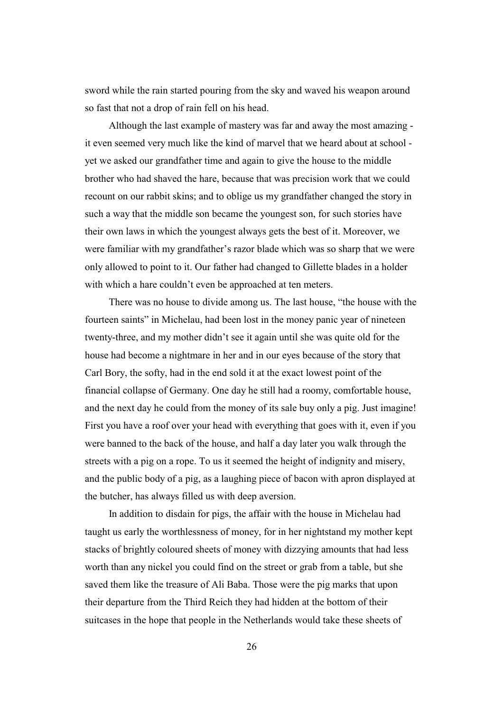sword while the rain started pouring from the sky and waved his weapon around so fast that not a drop of rain fell on his head.

Although the last example of mastery was far and away the most amazing it even seemed very much like the kind of marvel that we heard about at school yet we asked our grandfather time and again to give the house to the middle brother who had shaved the hare, because that was precision work that we could recount on our rabbit skins; and to oblige us my grandfather changed the story in such a way that the middle son became the youngest son, for such stories have their own laws in which the youngest always gets the best of it. Moreover, we were familiar with my grandfather's razor blade which was so sharp that we were only allowed to point to it. Our father had changed to Gillette blades in a holder with which a hare couldn't even be approached at ten meters.

There was no house to divide among us. The last house, "the house with the fourteen saints" in Michelau, had been lost in the money panic year of nineteen twenty-three, and my mother didn't see it again until she was quite old for the house had become a nightmare in her and in our eyes because of the story that Carl Bory, the softy, had in the end sold it at the exact lowest point of the financial collapse of Germany. One day he still had a roomy, comfortable house, and the next day he could from the money of its sale buy only a pig. Just imagine! First you have a roof over your head with everything that goes with it, even if you were banned to the back of the house, and half a day later you walk through the streets with a pig on a rope. To us it seemed the height of indignity and misery, and the public body of a pig, as a laughing piece of bacon with apron displayed at the butcher, has always filled us with deep aversion.

In addition to disdain for pigs, the affair with the house in Michelau had taught us early the worthlessness of money, for in her nightstand my mother kept stacks of brightly coloured sheets of money with dizzying amounts that had less worth than any nickel you could find on the street or grab from a table, but she saved them like the treasure of Ali Baba. Those were the pig marks that upon their departure from the Third Reich they had hidden at the bottom of their suitcases in the hope that people in the Netherlands would take these sheets of